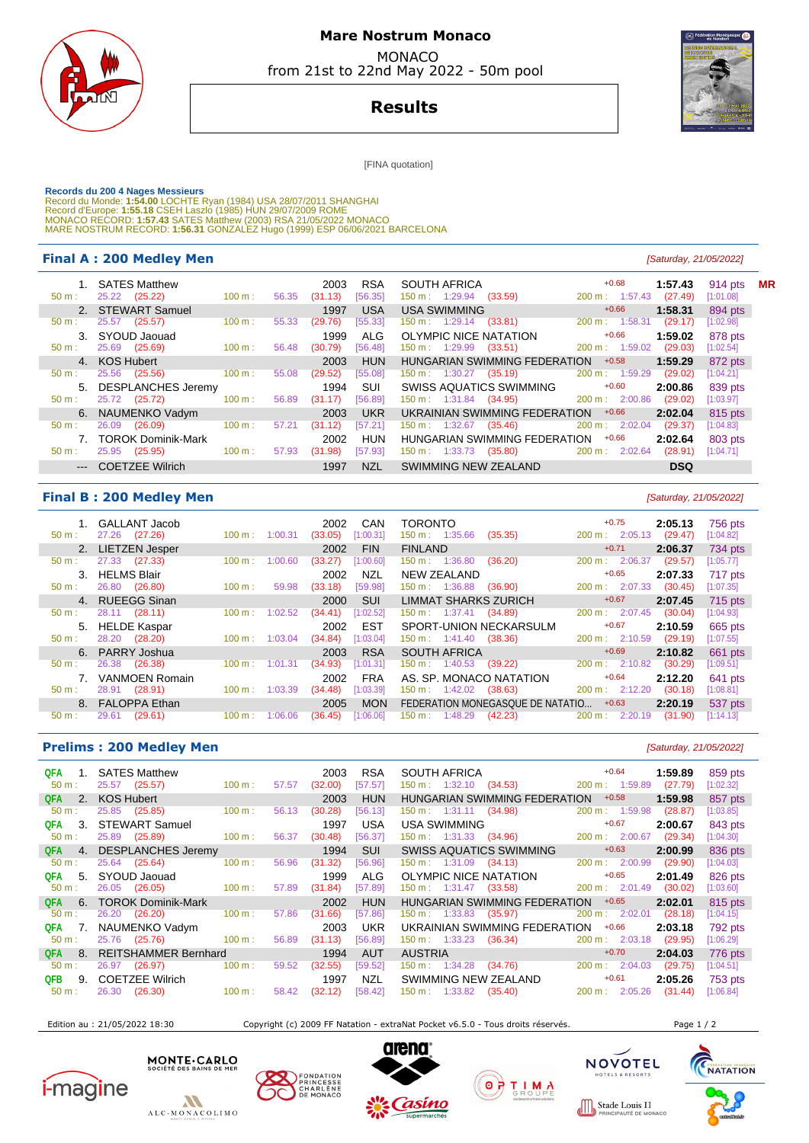

## **Mare Nostrum Monaco**  MONACO

from 21st to 22nd May 2022 - 50m pool

## **Results**

[FINA quotation]

Records du 200 4 Nages Messieurs<br>Record du Monde: 1:54.00 LOCHTE Ryan (1984) USA 28/07/2011 SHANGHAI<br>Record d'Europe: 1:55.18 CSEH Laszlo (1985) HUN 29/07/2009 ROME<br>MONACO RECORD: 1:57.43 SATES Matthew (2003) RSA 21/05/202

## **Final A : 200 Medley Men Final A : 200 Medley Men**

| 1. SATES Matthew                  |                   | 2003             | <b>RSA</b> | SOUTH AFRICA                        | $+0.68$                   | 1:57.43    | 914 pts   |
|-----------------------------------|-------------------|------------------|------------|-------------------------------------|---------------------------|------------|-----------|
| 25.22 (25.22)<br>$50 \text{ m}$ : | 100 m:            | 56.35<br>(31.13) | [56.35]    | (33.59)<br>$150 \text{ m}: 1:29.94$ | $200 \text{ m}: 1:57.43$  | (27.49)    | [1:01.08] |
| 2. STEWART Samuel                 |                   | 1997             | <b>USA</b> | <b>USA SWIMMING</b>                 | $+0.66$                   | 1:58.31    | 894 pts   |
| 25.57<br>(25.57)<br>50 m:         | 100 m:            | (29.76)<br>55.33 | [55.33]    | (33.81)<br>$150 \text{ m}: 1:29.14$ | 200 m: 1:58.31            | (29.17)    | [1:02.98] |
| 3. SYOUD Jaouad                   |                   | 1999             | ALG        | OLYMPIC NICE NATATION               | $+0.66$                   | 1:59.02    | 878 pts   |
| 25.69 (25.69)<br>$50 \text{ m}$ : | $100 \text{ m}$ : | (30.79)<br>56.48 | [56.48]    | $150 \text{ m}: 1:29.99$<br>(33.51) | 200 m: 1:59.02            | (29.03)    | [1:02.54] |
| 4. KOS Hubert                     |                   | 2003             | <b>HUN</b> | HUNGARIAN SWIMMING FEDERATION       | $+0.58$                   | 1:59.29    | 872 pts   |
| 25.56<br>(25.56)<br>$50 m$ :      | 100 m:            | (29.52)<br>55.08 | [55.08]    | $150 \text{ m}: 1:30.27$ (35.19)    | 200 m: 1:59.29            | (29.02)    | [1:04.21] |
| 5. DESPLANCHES Jeremy             |                   | 1994             | SUI        | SWISS AQUATICS SWIMMING             | $+0.60$                   | 2:00.86    | 839 pts   |
| 25.72 (25.72)<br>$50 \text{ m}$ : | 100 m:            | (31.17)<br>56.89 | [56.89]    | 150 m : 1:31.84 (34.95)             | 200 m: 2:00.86            | (29.02)    | [1:03.97] |
| 6. NAUMENKO Vadym                 |                   | 2003             | <b>UKR</b> | UKRAINIAN SWIMMING FEDERATION       | $+0.66$                   | 2:02.04    | 815 pts   |
| 26.09<br>(26.09)<br>$50 m$ :      | 100 m:            | 57.21<br>(31.12) | [57.21]    | $150 \text{ m}: 1:32.67$<br>(35.46) | 200 m: 2:02.04            | (29.37)    | [1:04.83] |
| 7. TOROK Dominik-Mark             |                   | 2002             | <b>HUN</b> | HUNGARIAN SWIMMING FEDERATION       | $+0.66$                   | 2:02.64    | 803 pts   |
| (25.95)<br>25.95<br>$50 m$ :      | 100 m:            | 57.93<br>(31.98) | [57.93]    | $150 \text{ m}: 1:33.73$<br>(35.80) | $200 \text{ m}$ : 2:02.64 | (28.91)    | [1:04.71] |
| --- COETZEE Wilrich               |                   | 1997             | NZL        | SWIMMING NEW ZEALAND                |                           | <b>DSQ</b> |           |
|                                   |                   |                  |            |                                     |                           |            |           |

## **Final B : 200 Medley Men Example 200 Medley Men Example 200 Medley Men Example 21/05/2022**

| 1. GALLANT Jacob                     |                   | CAN<br>2002          | <b>TORONTO</b>                      | $+0.75$                      | 2:05.13 | 756 pts   |
|--------------------------------------|-------------------|----------------------|-------------------------------------|------------------------------|---------|-----------|
| 27.26<br>(27.26)<br>$50 \text{ m}$ : | 1:00.31<br>100 m: | (33.05)<br>[1:00.31] | 150 m: 1:35.66<br>(35.35)           | 200 m: 2:05.13               | (29.47) | [1:04.82] |
| 2. LIETZEN Jesper                    |                   | <b>FIN</b><br>2002   | <b>FINLAND</b>                      | $+0.71$                      | 2:06.37 | 734 pts   |
| 27.33<br>(27.33)<br>50 m:            | 1:00.60<br>100 m: | [1:00.60]<br>(33.27) | 150 m: 1:36.80<br>(36.20)           | 2:06.37<br>$200 \text{ m}$ : | (29.57) | [1:05.77] |
| <b>HELMS Blair</b><br>3.             |                   | <b>NZL</b><br>2002   | <b>NEW ZEALAND</b>                  | $+0.65$                      | 2:07.33 | 717 pts   |
| 26.80<br>(26.80)<br>50 m:            | 100 m:<br>59.98   | (33.18)<br>[59.98]   | (36.90)<br>$150 \text{ m}: 1:36.88$ | $200 \text{ m}: 2:07.33$     | (30.45) | [1:07.35] |
| 4. RUEEGG Sinan                      |                   | <b>SUI</b><br>2000   | LIMMAT SHARKS ZURICH                | $+0.67$                      | 2:07.45 | 715 pts   |
| 28.11 (28.11)<br>$50 m$ :            | 1:02.52<br>100 m: | (34.41)<br>[1:02.52] | $150 \text{ m}: 1:37.41$<br>(34.89) | 200 m: 2:07.45               | (30.04) | [1:04.93] |
| 5. HELDE Kaspar                      |                   | <b>EST</b><br>2002   | SPORT-UNION NECKARSULM              | $+0.67$                      | 2:10.59 | 665 pts   |
| 28.20 (28.20)<br>50 m:               | 100 m:<br>1:03.04 | (34.84)<br>[1:03.04] | $150 \text{ m}: 1:41.40$<br>(38.36) | $200 \text{ m}: 2:10.59$     | (29.19) | [1:07.55] |
| 6. PARRY Joshua                      |                   | <b>RSA</b><br>2003   | <b>SOUTH AFRICA</b>                 | $+0.69$                      | 2:10.82 | 661 pts   |
| (26.38)<br>26.38<br>$50 m$ :         | 1:01.31<br>100 m: | (34.93)<br>[1:01.31] | $150 \text{ m}: 1:40.53$<br>(39.22) | 200 m: 2:10.82               | (30.29) | [1:09.51] |
| VANMOEN Romain                       |                   | <b>FRA</b><br>2002   | AS. SP. MONACO NATATION             | $+0.64$                      | 2:12.20 | 641 pts   |
| 28.91<br>(28.91)<br>$50 m$ :         | 100 m:<br>1:03.39 | [1:03.39]<br>(34.48) | $150 \text{ m}: 1:42.02$<br>(38.63) | $200 \text{ m}: 2:12.20$     | (30.18) | [1:08.81] |
| 8. FALOPPA Ethan                     |                   | <b>MON</b><br>2005   | FEDERATION MONEGASQUE DE NATATIO    | $+0.63$                      | 2:20.19 | 537 pts   |
| (29.61)<br>29.61<br>$50 m$ :         | 100 m:<br>1:06.06 | [1:06.06]<br>(36.45) | 150 m :<br>1:48.29<br>(42.23)       | 200 m:<br>2:20.19            | (31.90) | [1:14.13] |

### **Prelims : 200 Medley Men** [Saturday, 21/05/2022]

| QFA<br>$1_{-}$<br>$50 m$ : | <b>SATES Matthew</b><br>25.57 (25.57) | 100 m: | 57.57 | 2003<br>(32.00) | <b>RSA</b><br>[57.57] | <b>SOUTH AFRICA</b><br>$150 \text{ m}: 1:32.10$ (34.53) | $+0.64$<br>$200 \text{ m}$ : 1:59.89 | 1:59.89<br>(27.79) | 859 pts<br>$[1:02.32]$ |
|----------------------------|---------------------------------------|--------|-------|-----------------|-----------------------|---------------------------------------------------------|--------------------------------------|--------------------|------------------------|
|                            |                                       |        |       |                 |                       |                                                         |                                      |                    |                        |
| 2.<br><b>QFA</b>           | <b>KOS Hubert</b>                     |        |       | 2003            | <b>HUN</b>            | HUNGARIAN SWIMMING FEDERATION                           | $+0.58$                              | 1:59.98            | 857 pts                |
| $50 m$ :                   | 25.85<br>(25.85)                      | 100 m: | 56.13 | (30.28)         | [56.13]               | $150 \text{ m}: 1:31.11 (34.98)$                        | $200 \text{ m}: 1:59.98$             | (28.87)            | [1:03.85]              |
| -3.<br>QFA                 | <b>STEWART Samuel</b>                 |        |       | 1997            | <b>USA</b>            | <b>USA SWIMMING</b>                                     | $+0.67$                              | 2:00.67            | 843 pts                |
| $50 m$ :                   | (25.89)<br>25.89                      | 100 m: | 56.37 | (30.48)         | [56.37]               | 150 m : 1:31.33 (34.96)                                 | $200 \text{ m}$ : 2:00.67            | (29.34)            | [1:04.30]              |
| <b>QFA</b><br>4.           | <b>DESPLANCHES Jeremy</b>             |        |       | 1994            | <b>SUI</b>            | <b>SWISS AQUATICS SWIMMING</b>                          | $+0.63$                              | 2:00.99            | 836 pts                |
| $50 m$ :                   | 25.64 (25.64)                         | 100 m: | 56.96 | (31.32)         | [56.96]               | $150 \text{ m}: 1:31.09$<br>(34.13)                     | $200 \text{ m}$ : $2:00.99$          | (29.90)            | [1:04.03]              |
| QFA<br>-5.                 | SYOUD Jaouad                          |        |       | 1999            | <b>ALG</b>            | OLYMPIC NICE NATATION                                   | $+0.65$                              | 2:01.49            | 826 pts                |
| $50 m$ :                   | 26.05 (26.05)                         | 100 m: | 57.89 | (31.84)         | [57.89]               | $150 \text{ m}: 1:31.47$<br>(33.58)                     | $200 \text{ m}: 2:01.49$             | (30.02)            | [1:03.60]              |
| <b>QFA</b><br>6.           | <b>TOROK Dominik-Mark</b>             |        |       | 2002            | <b>HUN</b>            | HUNGARIAN SWIMMING FEDERATION                           | $+0.65$                              | 2:02.01            | 815 pts                |
| $50 m$ :                   | 26.20 (26.20)                         | 100 m: | 57.86 | (31.66)         | [57.86]               | $150 \text{ m}: 1:33.83$<br>(35.97)                     | $200 \text{ m}$ : 2:02.01            | (28.18)            | [1:04.15]              |
| <b>QFA</b><br>7.           | NAUMENKO Vadym                        |        |       | 2003            | <b>UKR</b>            | UKRAINIAN SWIMMING FEDERATION                           | $+0.66$                              | 2:03.18            | 792 pts                |
| $50 m$ :                   | 25.76 (25.76)                         | 100 m: | 56.89 | (31.13)         | [56.89]               | $150 \text{ m}: 1:33.23$<br>(36.34)                     | 200 m: 2:03.18                       | (29.95)            | [1:06.29]              |
| <b>QFA</b><br>8.           | <b>REITSHAMMER Bernhard</b>           |        |       | 1994            | <b>AUT</b>            | <b>AUSTRIA</b>                                          | $+0.70$                              | 2:04.03            | 776 pts                |
| $50 m$ :                   | (26.97)<br>26.97                      | 100 m: | 59.52 | (32.55)         | [59.52]               | $150 \text{ m}: 1:34.28$<br>(34.76)                     | $200 \text{ m}: 2:04.03$             | (29.75)            | [1:04.51]              |
| <b>QFB</b><br>9.           | <b>COETZEE Wilrich</b>                |        |       | 1997            | <b>NZL</b>            | SWIMMING NEW ZEALAND                                    | $+0.61$                              | 2:05.26            | 753 pts                |
| 50 m:                      | (26.30)<br>26.30                      | 100 m: | 58.42 | (32.12)         | [58.42]               | $150 \text{ m}: 1:33.82$<br>(35.40)                     | $200 \text{ m}$ :<br>2:05.26         | (31.44)            | [1:06.84]              |

Edition au : 21/05/2022 18:30 Copyright (c) 2009 FF Natation - extraNat Pocket v6.5.0 - Tous droits réservés. Page 1 / 2

TELS & RESO

**NACC**